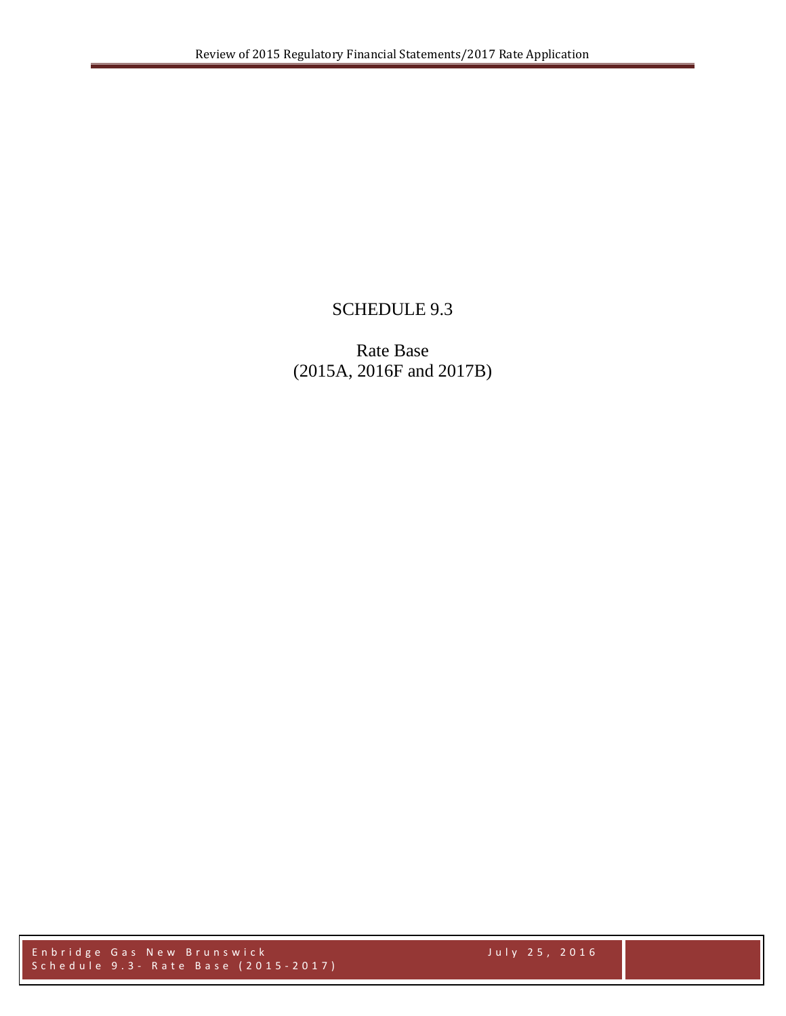## SCHEDULE 9.3

Rate Base (2015A, 2016F and 2017B)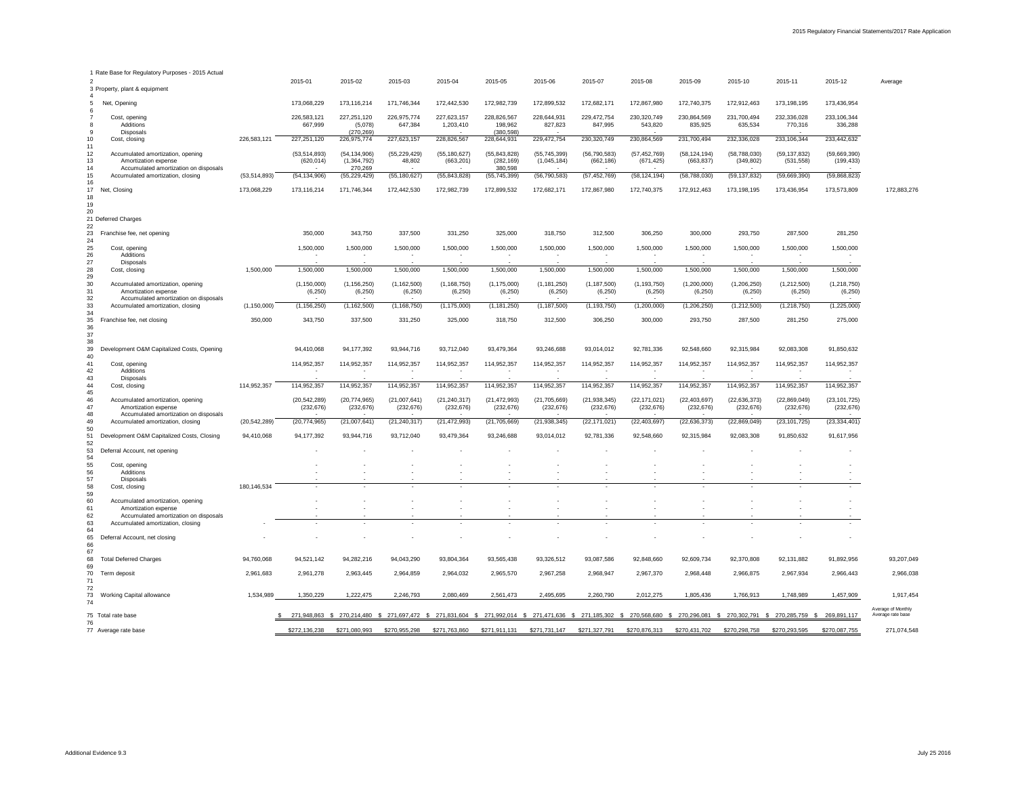| 1 Rate Base for Regulatory Purposes - 2015 Actual                                                                    |                |                              |                                          |                                    |                                         |                                         |                                                                                                                                                                                  |                              |                              |                              |                              |                              |                                             |                                         |
|----------------------------------------------------------------------------------------------------------------------|----------------|------------------------------|------------------------------------------|------------------------------------|-----------------------------------------|-----------------------------------------|----------------------------------------------------------------------------------------------------------------------------------------------------------------------------------|------------------------------|------------------------------|------------------------------|------------------------------|------------------------------|---------------------------------------------|-----------------------------------------|
| 2<br>3 Property, plant & equipment                                                                                   |                | 2015-01                      | 2015-02                                  | 2015-03                            | 2015-04                                 | 2015-05                                 | 2015-06                                                                                                                                                                          | 2015-07                      | 2015-08                      | 2015-09                      | 2015-10                      | 2015-11                      | 2015-12                                     | Average                                 |
| Net, Opening<br>5<br>6                                                                                               |                | 173,068,229                  | 173,116,214                              | 171,746,344                        | 172,442,530                             | 172,982,739                             | 172,899,532                                                                                                                                                                      | 172,682,171                  | 172,867,980                  | 172,740,375                  | 172,912,463                  | 173,198,195                  | 173,436,954                                 |                                         |
| $\overline{7}$<br>Cost, opening<br>Additions<br>8<br>9<br>Disposals                                                  |                | 226,583,121<br>667,999       | 227,251,120<br>(5,078)<br>(270, 269)     | 226,975,774<br>647,384             | 227,623,157<br>1,203,410                | 228,826,567<br>198,962<br>(380, 598)    | 228,644,931<br>827,823                                                                                                                                                           | 229,472,754<br>847,995       | 230,320,749<br>543,820       | 230,864,569<br>835,925       | 231,700,494<br>635,534       | 232,336,028<br>770,316       | 233,106,344<br>336,288                      |                                         |
| 10 <sup>°</sup><br>Cost, closing<br>11                                                                               | 226,583,121    | 227,251,120                  | 226,975,774                              | 227,623,157                        | 228,826,567                             | 228,644,931                             | 229,472,754                                                                                                                                                                      | 230, 320, 749                | 230,864,569                  | 231,700,494                  | 232,336,028                  | 233,106,344                  | 233,442,632                                 |                                         |
| 12<br>Accumulated amortization, opening<br>13<br>Amortization expense<br>14<br>Accumulated amortization on disposals |                | (53, 514, 893)<br>(620, 014) | (54, 134, 906)<br>(1,364,792)<br>270,269 | (55, 229, 429)<br>48,802<br>$\sim$ | (55, 180, 627)<br>(663, 201)            | (55, 843, 828)<br>(282, 169)<br>380,598 | (55, 745, 399)<br>(1,045,184)                                                                                                                                                    | (56, 790, 583)<br>(662, 186) | (57, 452, 769)<br>(671, 425) | (58, 124, 194)<br>(663, 837) | (58, 788, 030)<br>(349, 802) | (59, 137, 832)<br>(531, 558) | (59,669,390)<br>(199, 433)                  |                                         |
| Accumulated amortization, closing<br>15<br>16                                                                        | (53, 514, 893) | (54, 134, 906)               | (55, 229, 429)                           | (55, 180, 627)                     | (55, 843, 828)                          | (55, 745, 399)                          | (56, 790, 583)                                                                                                                                                                   | (57, 452, 769)               | (58, 124, 194)               | (58, 788, 030)               | (59, 137, 832)               | (59, 669, 390)               | (59,868,823)                                |                                         |
| 17<br>Net, Closing<br>18<br>19                                                                                       | 173,068,229    | 173,116,214                  | 171,746,344                              | 172,442,530                        | 172,982,739                             | 172,899,532                             | 172,682,171                                                                                                                                                                      | 172,867,980                  | 172,740,375                  | 172,912,463                  | 173,198,195                  | 173,436,954                  | 173,573,809                                 | 172,883,276                             |
| 20<br>21 Deferred Charges                                                                                            |                |                              |                                          |                                    |                                         |                                         |                                                                                                                                                                                  |                              |                              |                              |                              |                              |                                             |                                         |
| 22<br>23<br>Franchise fee, net opening<br>24                                                                         |                | 350,000                      | 343,750                                  | 337,500                            | 331,250                                 | 325,000                                 | 318,750                                                                                                                                                                          | 312,500                      | 306,250                      | 300,000                      | 293,750                      | 287,500                      | 281,250                                     |                                         |
| 25<br>Cost, opening<br>26<br>Additions                                                                               |                | 1,500,000                    | 1,500,000                                | 1,500,000                          | 1,500,000                               | 1,500,000                               | 1,500,000                                                                                                                                                                        | 1,500,000                    | 1,500,000                    | 1,500,000                    | 1,500,000                    | 1,500,000                    | 1,500,000                                   |                                         |
| 27<br>Disposals<br>28<br>Cost, closing                                                                               | 1,500,000      | 1,500,000                    | 1,500,000                                | 1,500,000                          | 1,500,000                               | 1,500,000                               | 1,500,000                                                                                                                                                                        | 1,500,000                    | 1,500,000                    | 1,500,000                    | 1,500,000                    | 1,500,000                    | $\sim$<br>1,500,000                         |                                         |
| 29                                                                                                                   |                |                              |                                          |                                    |                                         |                                         |                                                                                                                                                                                  |                              |                              |                              |                              |                              |                                             |                                         |
| 30<br>Accumulated amortization, opening<br>31<br>Amortization expense<br>Accumulated amortization on disposals<br>32 |                | (1, 150, 000)<br>(6, 250)    | (1, 156, 250)<br>(6, 250)                | (1, 162, 500)<br>(6, 250)          | (1, 168, 750)<br>(6, 250)               | (1, 175, 000)<br>(6, 250)               | (1, 181, 250)<br>(6, 250)                                                                                                                                                        | (1, 187, 500)<br>(6, 250)    | (1, 193, 750)<br>(6, 250)    | (1,200,000)<br>(6, 250)      | (1,206,250)<br>(6, 250)      | (1,212,500)<br>(6, 250)      | (1,218,750)<br>(6, 250)<br>$\sim$ 100 $\mu$ |                                         |
| 33<br>Accumulated amortization, closing<br>34                                                                        | (1, 150, 000)  | (1, 156, 250)                | (1, 162, 500)                            | (1, 168, 750)                      | (1, 175, 000)                           | (1, 181, 250)                           | (1, 187, 500)                                                                                                                                                                    | (1, 193, 750)                | (1,200,000)                  | (1,206,250)                  | 1,212,500)                   | (1, 218, 750)                | 1,225,000                                   |                                         |
| 35<br>Franchise fee, net closing<br>36<br>37                                                                         | 350,000        | 343,750                      | 337,500                                  | 331,250                            | 325,000                                 | 318,750                                 | 312,500                                                                                                                                                                          | 306,250                      | 300,000                      | 293,750                      | 287,500                      | 281,250                      | 275,000                                     |                                         |
| 38<br>39<br>Development O&M Capitalized Costs, Opening<br>40                                                         |                | 94,410,068                   | 94,177,392                               | 93,944,716                         | 93,712,040                              | 93,479,364                              | 93,246,688                                                                                                                                                                       | 93,014,012                   | 92,781,336                   | 92,548,660                   | 92,315,984                   | 92,083,308                   | 91,850,632                                  |                                         |
| 41<br>Cost, opening<br>42<br>Additions                                                                               |                | 114,952,357<br>$\sim$        | 114,952,357                              | 114,952,357                        | 114,952,357<br>$\sim$                   | 114,952,357                             | 114,952,357                                                                                                                                                                      | 114,952,357<br>$\sim$        | 114,952,357<br>$\sim$        | 114,952,357<br>$\sim$        | 114,952,357                  | 114,952,357<br>$\sim$        | 114,952,357<br>$\sim$                       |                                         |
| 43<br>Disposals<br>44<br>Cost, closing                                                                               | 114,952,357    | 114,952,357                  | 114,952,357                              | 114,952,357                        | $\overline{\phantom{a}}$<br>114,952,357 | 114,952,357                             | 114,952,357                                                                                                                                                                      | $\sim$<br>114,952,357        | 114,952,357                  | 114,952,357                  | 114,952,357                  | 114,952,357                  | $\sim$<br>114,952,357                       |                                         |
| 45<br>46<br>Accumulated amortization, opening<br>47<br>Amortization expense                                          |                | (20, 542, 289)<br>(232, 676) | (20, 774, 965)<br>(232, 676)             | (21,007,641)<br>(232, 676)         | (21, 240, 317)<br>(232, 676)            | (21, 472, 993)<br>(232, 676)            | (21, 705, 669)<br>(232, 676)                                                                                                                                                     | (21, 938, 345)<br>(232, 676) | (22, 171, 021)<br>(232, 676) | (22, 403, 697)<br>(232, 676) | (22, 636, 373)<br>(232, 676) | (22,869,049)<br>(232, 676)   | (23, 101, 725)<br>(232, 676)                |                                         |
| 48<br>Accumulated amortization on disposals<br>49<br>Accumulated amortization, closing<br>50                         | (20, 542, 289) | (20, 774, 965)               | (21,007,641)                             | (21, 240, 317)                     | (21, 472, 993)                          | (21, 705, 669)                          | (21, 938, 345)                                                                                                                                                                   | (22, 171, 021)               | (22, 403, 697)               | (22, 636, 373)               | (22, 869, 049)               | (23, 101, 725)               | (23, 334, 401)                              |                                         |
| 51<br>Development O&M Capitalized Costs, Closing<br>52                                                               | 94,410,068     | 94,177,392                   | 93,944,716                               | 93,712,040                         | 93,479,364                              | 93,246,688                              | 93,014,012                                                                                                                                                                       | 92,781,336                   | 92,548,660                   | 92,315,984                   | 92,083,308                   | 91,850,632                   | 91,617,956                                  |                                         |
| 53<br>Deferral Account, net opening<br>54                                                                            |                |                              |                                          |                                    |                                         |                                         |                                                                                                                                                                                  |                              |                              |                              |                              |                              |                                             |                                         |
| 55<br>Cost, opening<br>56<br>Additions                                                                               |                |                              |                                          |                                    |                                         |                                         |                                                                                                                                                                                  |                              |                              |                              |                              |                              |                                             |                                         |
| 57<br>Disposals                                                                                                      | 180,146,534    | $\sim$                       |                                          |                                    |                                         |                                         |                                                                                                                                                                                  |                              |                              |                              |                              | $\overline{\phantom{a}}$     | $\sim$                                      |                                         |
| 58<br>Cost, closing<br>59                                                                                            |                |                              |                                          |                                    |                                         |                                         |                                                                                                                                                                                  |                              |                              |                              |                              |                              |                                             |                                         |
| 60<br>Accumulated amortization, opening<br>61<br>Amortization expense                                                |                |                              |                                          |                                    |                                         |                                         |                                                                                                                                                                                  |                              |                              |                              |                              |                              |                                             |                                         |
| 62<br>Accumulated amortization on disposals<br>63<br>Accumulated amortization, closing                               |                |                              |                                          |                                    | $\blacksquare$                          |                                         |                                                                                                                                                                                  | $\overline{\phantom{a}}$     |                              |                              |                              |                              |                                             |                                         |
| 64                                                                                                                   |                |                              |                                          |                                    |                                         |                                         |                                                                                                                                                                                  |                              |                              |                              |                              |                              |                                             |                                         |
| 65<br>Deferral Account, net closing<br>66<br>67                                                                      |                |                              |                                          |                                    |                                         |                                         |                                                                                                                                                                                  |                              |                              |                              |                              |                              |                                             |                                         |
| 68<br><b>Total Deferred Charges</b><br>69                                                                            | 94,760,068     | 94,521,142                   | 94,282,216                               | 94,043,290                         | 93,804,364                              | 93,565,438                              | 93,326,512                                                                                                                                                                       | 93,087,586                   | 92,848,660                   | 92,609,734                   | 92,370,808                   | 92,131,882                   | 91,892,956                                  | 93,207,049                              |
| 70<br>Term deposit<br>71                                                                                             | 2,961,683      | 2,961,278                    | 2,963,445                                | 2,964,859                          | 2,964,032                               | 2,965,570                               | 2,967,258                                                                                                                                                                        | 2,968,947                    | 2,967,370                    | 2,968,448                    | 2,966,875                    | 2,967,934                    | 2,966,443                                   | 2,966,038                               |
| 72<br>73<br><b>Working Capital allowance</b><br>$\sqrt{4}$                                                           | 1,534,989      | 1,350,229                    | 1,222,475                                | 2,246,793                          | 2,080,469                               | 2,561,473                               | 2,495,695                                                                                                                                                                        | 2,260,790                    | 2,012,275                    | 1,805,436                    | 1,766,913                    | 1,748,989                    | 1,457,909                                   | 1,917,454                               |
| 75 Total rate base                                                                                                   |                |                              |                                          |                                    |                                         |                                         | 271,948,863 \$ 270,214,480 \$ 271,697,472 \$ 271,831,604 \$ 271,992,014 \$ 271,471,636 \$ 271,185,302 \$ 270,568,680 \$ 270,296,081 \$ 270,302,791 \$ 270,285,759 \$ 269,891,117 |                              |                              |                              |                              |                              |                                             | Average of Monthly<br>Average rate base |
| 76<br>77 Average rate base                                                                                           |                | \$272,136,238                | \$271,080,993                            | \$270,955,298                      | \$271,763,860                           | \$271,911,131                           | \$271,731,147                                                                                                                                                                    | \$271,327,791                | \$270,876,313                | \$270,431,702                | \$270,298,758                | \$270,293,595                | \$270,087,755                               | 271,074,548                             |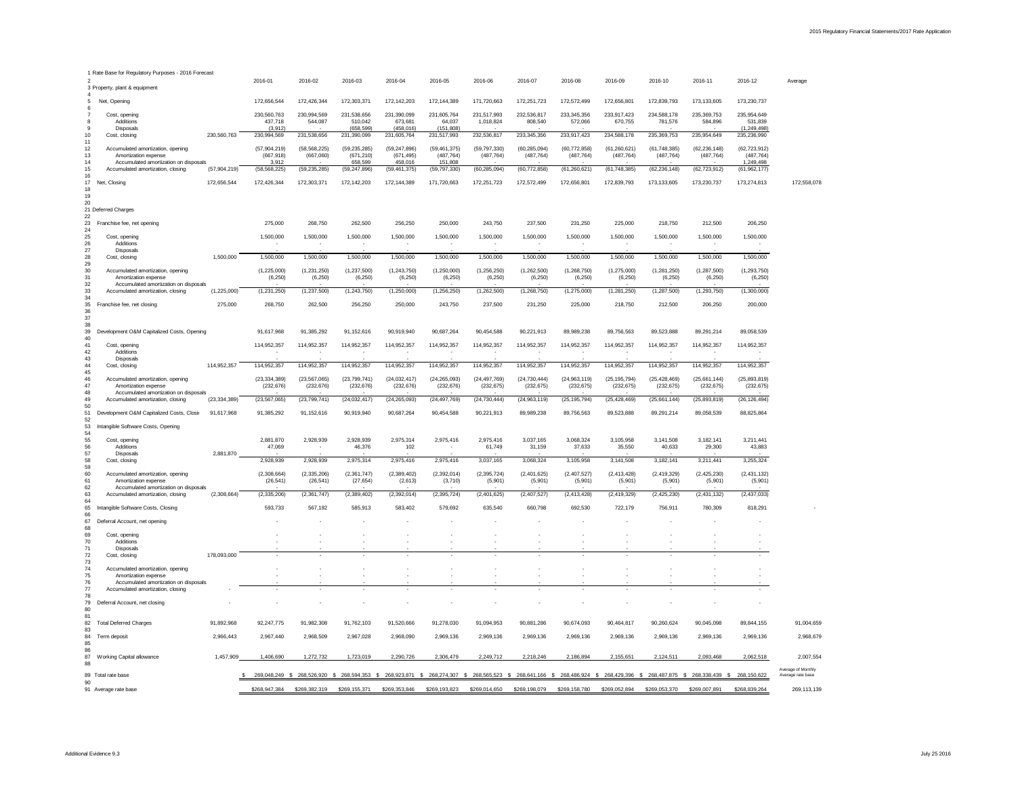| 1 Rate Base for Regulatory Purposes - 2016 Forecast                                                                  |                |                                     |                                              |                                         |                                         |                                         |                                         |                              |                                                                            |                              |                                         |                                                          |                                           |                                         |
|----------------------------------------------------------------------------------------------------------------------|----------------|-------------------------------------|----------------------------------------------|-----------------------------------------|-----------------------------------------|-----------------------------------------|-----------------------------------------|------------------------------|----------------------------------------------------------------------------|------------------------------|-----------------------------------------|----------------------------------------------------------|-------------------------------------------|-----------------------------------------|
| 3 Property, plant & equipment                                                                                        |                | 2016-01                             | 2016-02                                      | 2016-03                                 | 2016-04                                 | 2016-05                                 | 2016-06                                 | 2016-07                      | 2016-08                                                                    | 2016-09                      | 2016-10                                 | 2016-11                                                  | 2016-12                                   | Average                                 |
| 5<br>Net,<br>Opening<br>6                                                                                            |                | 172,656,544                         | 172,426,344                                  | 172,303,371                             | 172,142,203                             | 172,144,389                             | 171,720,663                             | 172,251,723                  | 172,572,499                                                                | 172,656,801                  | 172,839,793                             | 173, 133, 605                                            | 173,230,737                               |                                         |
| $\overline{7}$<br>Cost, opening<br>8<br>Additions<br>9<br><b>Disposals</b>                                           |                | 230,560,763<br>437,718<br>(3,912)   | 230,994,569<br>544,087                       | 231,538,656<br>510,042<br>(658, 599)    | 231,390,099<br>673,681<br>(458, 016)    | 231,605,764<br>64,037<br>(151, 808)     | 231,517,993<br>1,018,824                | 232,536,817<br>808,540       | 233,345,356<br>572,066                                                     | 233,917,423<br>670,755       | 234,588,178<br>781,576                  | 235,369,753<br>584,896                                   | 235,954,649<br>531,839<br>(1, 249, 498)   |                                         |
| 10 <sup>°</sup><br>Cost, closing<br>11                                                                               | 230,560,763    | 230,994,569                         | 231,538,656                                  | 231,390,099                             | 231,605,764                             | 231,517,993                             | 232,536,817                             | 233,345,356                  | 233,917,423                                                                | 234,588,178                  | 235, 369, 753                           | 235,954,649                                              | 235,236,990                               |                                         |
| 12<br>Accumulated amortization, opening<br>13<br>Amortization expense<br>14<br>Accumulated amortization on disposals |                | (57,904,219)<br>(667, 918)<br>3,912 | (58, 568, 225)<br>(667,060)<br>$\sim$        | (59, 235, 285)<br>(671, 210)<br>658,599 | (59, 247, 896)<br>(671, 495)<br>458,016 | (59, 461, 375)<br>(487, 764)<br>151,808 | (59, 797, 330)<br>(487, 764)            | (60, 285, 094)<br>(487, 764) | (60, 772, 858)<br>(487, 764)                                               | (61, 260, 621)<br>(487, 764) | (61, 748, 385)<br>(487, 764)            | (62, 236, 148)<br>(487, 764)                             | (62, 723, 912)<br>(487, 764)<br>1,249,498 |                                         |
| 15<br>Accumulated amortization, closing<br>16                                                                        | (57,904,219)   | (58, 568, 225)                      | (59, 235, 285)                               | (59, 247, 896)                          | (59, 461, 375)                          | (59, 797, 330)                          | (60, 285, 094)                          | (60, 772, 858)               | (61, 260, 621)                                                             | (61, 748, 385)               | (62, 236, 148)                          | (62, 723, 912)                                           | (61, 962, 177)                            |                                         |
| 17<br>Net, Closing<br>18<br>19                                                                                       | 172,656,544    | 172,426,344                         | 172,303,371                                  | 172,142,203                             | 172,144,389                             | 171,720,663                             | 172,251,723                             | 172,572,499                  | 172,656,801                                                                | 172,839,793                  | 173,133,605                             | 173,230,737                                              | 173,274,813                               | 172,558,078                             |
| 20<br>21 Deferred Charges                                                                                            |                |                                     |                                              |                                         |                                         |                                         |                                         |                              |                                                                            |                              |                                         |                                                          |                                           |                                         |
| 22<br>23<br>Franchise fee, net opening                                                                               |                | 275,000                             | 268,750                                      | 262,500                                 | 256,250                                 | 250,000                                 | 243,750                                 | 237,500                      | 231,250                                                                    | 225,000                      | 218,750                                 | 212,500                                                  | 206,250                                   |                                         |
| 24<br>25<br>Cost, opening<br>Additions<br>26                                                                         |                | 1,500,000                           | 1,500,000<br>$\overline{\phantom{a}}$        | 1,500,000<br>$\sim$                     | 1,500,000                               | 1,500,000                               | 1,500,000                               | 1,500,000                    | 1,500,000<br>$\sim$                                                        | 1,500,000                    | 1,500,000<br>$\overline{\phantom{a}}$   | 1,500,000<br>$\sim$                                      | 1,500,000                                 |                                         |
| 27<br><b>Disposals</b><br>28<br>Cost, closing                                                                        | 1,500,000      | 1,500,000                           | 1,500,000                                    | 1,500,000                               | 1,500,000                               | 1,500,000                               | 1,500,000                               | 1,500,000                    | 1,500,000                                                                  | 1,500,000                    | 1,500,000                               | 1,500,000                                                | 1,500,000                                 |                                         |
| 29<br>30<br>Accumulated amortization, opening                                                                        |                | (1,225,000)                         | (1,231,250)                                  | (1, 237, 500)                           | (1,243,750)                             | (1,250,000)                             | (1,256,250)                             | (1,262,500)                  | (1,268,750)                                                                | (1,275,000)                  | (1,281,250)                             | (1, 287, 500)                                            | (1, 293, 750)                             |                                         |
| 31<br>Amortization expense<br>32<br>Accumulated amortization on disposals                                            |                | (6, 250)                            | (6, 250)                                     | (6, 250)                                | (6, 250)                                | (6, 250)<br>$\sim$                      | (6, 250)                                | (6, 250)                     | (6, 250)                                                                   | (6, 250)                     | (6, 250)                                | (6, 250)                                                 | (6, 250)                                  |                                         |
| 33<br>Accumulated amortization, closing<br>34                                                                        | (1,225,000)    | (1,231,250)                         | (1, 237, 500)                                | (1, 243, 750)                           | (1,250,000)                             | (1, 256, 250)                           | (1,262,500)                             | (1, 268, 750)                | (1,275,000)                                                                | (1,281,250)                  | (1, 287, 500)                           | (1, 293, 750)                                            | (1,300,000)                               |                                         |
| 35<br>Franchise fee, net closing<br>36<br>37                                                                         | 275,000        | 268,750                             | 262,500                                      | 256,250                                 | 250,000                                 | 243,750                                 | 237,500                                 | 231,250                      | 225,000                                                                    | 218,750                      | 212,500                                 | 206,250                                                  | 200,000                                   |                                         |
| 38<br>39<br>Development O&M Capitalized Costs, Opening                                                               |                | 91,617,968                          | 91,385,292                                   | 91,152,616                              | 90,919,940                              | 90,687,264                              | 90,454,588                              | 90,221,913                   | 89,989,238                                                                 | 89,756,563                   | 89,523,888                              | 89,291,214                                               | 89,058,539                                |                                         |
| 40<br>41<br>Cost, opening<br>Additions<br>42                                                                         |                | 114,952,357                         | 114,952,357                                  | 114,952,357<br>$\sim$                   | 114,952,357                             | 114,952,357                             | 114,952,357                             | 114,952,357                  | 114,952,357                                                                | 114,952,357                  | 114,952,357                             | 114,952,357                                              | 114,952,357                               |                                         |
| 43<br>Disposals<br>44<br>Cost, closing                                                                               | 114,952,357    | 114,952,357                         | $\overline{\phantom{a}}$<br>114,952,357      | $\sim$<br>114,952,357                   | 114,952,357                             | $\sim$<br>114,952,357                   | $\overline{\phantom{0}}$<br>114,952,357 | $\sim$<br>114,952,357        | $\sim$<br>114,952,357                                                      | 114,952,357                  | $\overline{\phantom{a}}$<br>114,952,357 | $\overline{\phantom{0}}$<br>114,952,357                  | $\sim$<br>114,952,357                     |                                         |
| 45<br>46<br>Accumulated amortization, opening<br>47<br>Amortization expense                                          |                | (23, 334, 389)<br>(232, 676)        | (23, 567, 065)<br>(232, 676)                 | (23,799,741)<br>(232, 676)              | (24, 032, 417)<br>(232, 676)            | (24, 265, 093)<br>(232, 676)            | (24, 497, 769)<br>(232, 675)            | (24, 730, 444)<br>(232, 675) | (24, 963, 119)<br>(232, 675)                                               | (25, 195, 794)<br>(232, 675) | (25, 428, 469)<br>(232, 675)            | (25,661,144)<br>(232, 675)                               | (25,893,819)<br>(232, 675)                |                                         |
| Accumulated amortization on disposals<br>48<br>49<br>Accumulated amortization, closing                               | (23, 334, 389) | (23, 567, 065)                      | (23,799,741)                                 | (24,032,417)                            | (24, 265, 093)                          | (24, 497, 769)                          | (24, 730, 444)                          | (24, 963, 119)               | (25, 195, 794)                                                             | (25, 428, 469)               | (25,661,144)                            | (25,893,819)                                             | (26, 126, 494)                            |                                         |
| 50<br>Development O&M Capitalized Costs, Closir<br>51                                                                | 91,617,968     | 91,385,292                          | 91,152,616                                   | 90,919,940                              | 90,687,264                              | 90,454,588                              | 90,221,913                              | 89,989,238                   | 89,756,563                                                                 | 89,523,888                   | 89,291,214                              | 89,058,539                                               | 88,825,864                                |                                         |
| 52<br>53<br>Intangible Software Costs, Opening                                                                       |                |                                     |                                              |                                         |                                         |                                         |                                         |                              |                                                                            |                              |                                         |                                                          |                                           |                                         |
| 54<br>55<br>Cost, opening<br>56<br>Additions                                                                         |                | 2,881,870<br>47,069                 | 2,928,939                                    | 2,928,939<br>46,376                     | 2,975,314<br>102                        | 2,975,416                               | 2,975,416<br>61,749                     | 3,037,165<br>31,159          | 3,068,324<br>37,633                                                        | 3,105,958<br>35,550          | 3,141,508<br>40,633                     | 3,182,141<br>29,300                                      | 3,211,441<br>43,883                       |                                         |
| 57<br>Disposals<br>58<br>Cost, closing                                                                               | 2,881,870      | 2,928,939                           | $\sim$<br>2,928,939                          | 2,975,314                               | 2,975,416                               | 2,975,416                               | 3,037,165                               | 3,068,324                    | 3,105,958                                                                  | 3,141,508                    | 3,182,141                               | 3,211,441                                                | 3,255,324                                 |                                         |
| 59<br>60<br>Accumulated amortization, opening                                                                        |                | (2,308,664)                         | (2,335,206)                                  | (2,361,747)                             | (2,389,402)                             | (2,392,014)                             | (2, 395, 724)                           | (2,401,625)                  | (2,407,527)                                                                | (2,413,428)                  | (2,419,329)                             | (2,425,230)                                              | (2,431,132)                               |                                         |
| 61<br>Amortization expense<br>Accumulated amortization on disposals<br>62                                            |                | (26, 541)                           | (26, 541)                                    | (27, 654)                               | (2,613)                                 | (3,710)<br>$\sim$                       | (5,901)                                 | (5,901)                      | (5,901)                                                                    | (5,901)                      | (5,901)                                 | (5,901)                                                  | (5,901)                                   |                                         |
| 63<br>Accumulated amortization, closing<br>64                                                                        | (2,308,664)    | (2, 335, 206)                       | (2,361,747)                                  | (2,389,402)                             | (2,392,014)                             | (2, 395, 724)                           | (2,401,625)                             | (2,407,527)                  | (2, 413, 428)                                                              | (2,419,329)                  | (2, 425, 230)                           | (2,431,132)                                              | (2, 437, 033)                             |                                         |
| 65<br>Intangible Software Costs, Closing<br>66                                                                       |                | 593,733                             | 567,192                                      | 585,913                                 | 583,402                                 | 579,692                                 | 635,540                                 | 660,798                      | 692,530                                                                    | 722,179                      | 756,911                                 | 780,309                                                  | 818,291                                   |                                         |
| 67<br>Deferral Account, net opening<br>68                                                                            |                |                                     |                                              | $\sim$                                  |                                         |                                         | $\sim$                                  |                              |                                                                            |                              |                                         |                                                          |                                           |                                         |
| 69<br>Cost, opening<br>Additions<br>70                                                                               |                |                                     |                                              |                                         |                                         |                                         |                                         |                              |                                                                            |                              |                                         |                                                          |                                           |                                         |
| 71<br>Disposals<br>72<br>Cost, closing                                                                               | 178,093,000    |                                     | $\sim$                                       | $\sim$                                  |                                         | $\sim$                                  | $\overline{\phantom{a}}$                | $\overline{\phantom{a}}$     | $\overline{\phantom{a}}$                                                   | $\sim$                       | $\sim$                                  | $\sim$                                                   |                                           |                                         |
| 73<br>74<br>Accumulated amortization, opening                                                                        |                |                                     |                                              |                                         |                                         |                                         |                                         |                              |                                                                            |                              |                                         |                                                          |                                           |                                         |
| 75<br>Amortization expense<br>76<br>Accumulated amortization on disposals                                            |                |                                     |                                              |                                         |                                         |                                         |                                         |                              |                                                                            |                              |                                         |                                                          |                                           |                                         |
| 77<br>Accumulated amortization, closing                                                                              |                |                                     |                                              |                                         |                                         |                                         |                                         |                              |                                                                            |                              |                                         |                                                          |                                           |                                         |
| 78<br>79<br>Deferral Account, net closing<br>80                                                                      |                |                                     |                                              | $\sim$                                  |                                         |                                         |                                         |                              |                                                                            |                              |                                         |                                                          |                                           |                                         |
| 81<br>82<br><b>Total Deferred Charges</b>                                                                            | 91,892,968     | 92,247,775                          | 91,982,308                                   | 91,762,103                              | 91,520,666                              | 91,278,030                              | 91,094,953                              | 90,881,286                   | 90,674,093                                                                 | 90,464,817                   | 90,260,624                              | 90,045,098                                               | 89,844,155                                | 91,004,659                              |
| 83<br>84<br>Term deposit<br>85                                                                                       | 2,966,443      | 2,967,440                           | 2,968,509                                    | 2,967,028                               | 2,968,090                               | 2,969,136                               | 2,969,136                               | 2,969,136                    | 2,969,136                                                                  | 2,969,136                    | 2,969,136                               | 2,969,136                                                | 2,969,136                                 | 2,968,679                               |
| 86<br>87<br>Working Capital allowance                                                                                | 1,457,909      | 1,406,690                           | 1,272,732                                    | 1,723,019                               | 2,290,726                               | 2,306,479                               | 2,249,712                               | 2,218,246                    | 2,186,894                                                                  | 2,155,651                    | 2,124,511                               | 2,093,468                                                | 2,062,518                                 | 2,007,554                               |
| 88<br>89 Total rate base                                                                                             |                |                                     | 269,048,249 \$ 268,526,920 \$ 268,594,353 \$ |                                         |                                         |                                         |                                         |                              | 268,923,871 \$ 268,274,307 \$ 268,565,523 \$ 268,641,166 \$ 268,486,924 \$ |                              |                                         | 268,429,396 \$ 268,487,875 \$ 268,338,439 \$ 268,150,622 |                                           | Average of Monthly<br>Average rate base |
| 90<br>91 Average rate base                                                                                           |                | \$268,947,384                       | \$269,382,319                                | \$269,155,371                           | \$269,353,846                           | \$269,193,823                           | \$269,014,650                           | \$269,198,079                | \$269,158,780                                                              | \$269,052,894                | \$269,053,370                           | \$269,007,891                                            | \$268,839,264                             | 269,113,139                             |
|                                                                                                                      |                |                                     |                                              |                                         |                                         |                                         |                                         |                              |                                                                            |                              |                                         |                                                          |                                           |                                         |